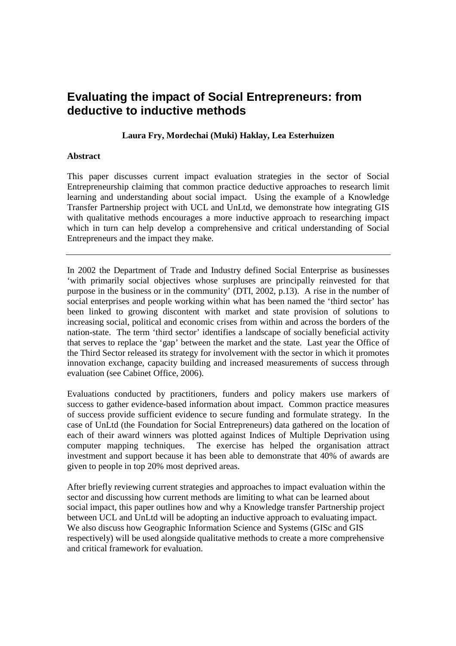# **Evaluating the impact of Social Entrepreneurs: from deductive to inductive methods**

# **Laura Fry, Mordechai (Muki) Haklay, Lea Esterhuizen**

## **Abstract**

This paper discusses current impact evaluation strategies in the sector of Social Entrepreneurship claiming that common practice deductive approaches to research limit learning and understanding about social impact. Using the example of a Knowledge Transfer Partnership project with UCL and UnLtd, we demonstrate how integrating GIS with qualitative methods encourages a more inductive approach to researching impact which in turn can help develop a comprehensive and critical understanding of Social Entrepreneurs and the impact they make.

In 2002 the Department of Trade and Industry defined Social Enterprise as businesses 'with primarily social objectives whose surpluses are principally reinvested for that purpose in the business or in the community' (DTI, 2002, p.13). A rise in the number of social enterprises and people working within what has been named the 'third sector' has been linked to growing discontent with market and state provision of solutions to increasing social, political and economic crises from within and across the borders of the nation-state. The term 'third sector' identifies a landscape of socially beneficial activity that serves to replace the 'gap' between the market and the state. Last year the Office of the Third Sector released its strategy for involvement with the sector in which it promotes innovation exchange, capacity building and increased measurements of success through evaluation (see Cabinet Office, 2006).

Evaluations conducted by practitioners, funders and policy makers use markers of success to gather evidence-based information about impact. Common practice measures of success provide sufficient evidence to secure funding and formulate strategy. In the case of UnLtd (the Foundation for Social Entrepreneurs) data gathered on the location of each of their award winners was plotted against Indices of Multiple Deprivation using computer mapping techniques. The exercise has helped the organisation attract investment and support because it has been able to demonstrate that 40% of awards are given to people in top 20% most deprived areas.

After briefly reviewing current strategies and approaches to impact evaluation within the sector and discussing how current methods are limiting to what can be learned about social impact, this paper outlines how and why a Knowledge transfer Partnership project between UCL and UnLtd will be adopting an inductive approach to evaluating impact. We also discuss how Geographic Information Science and Systems (GISc and GIS respectively) will be used alongside qualitative methods to create a more comprehensive and critical framework for evaluation.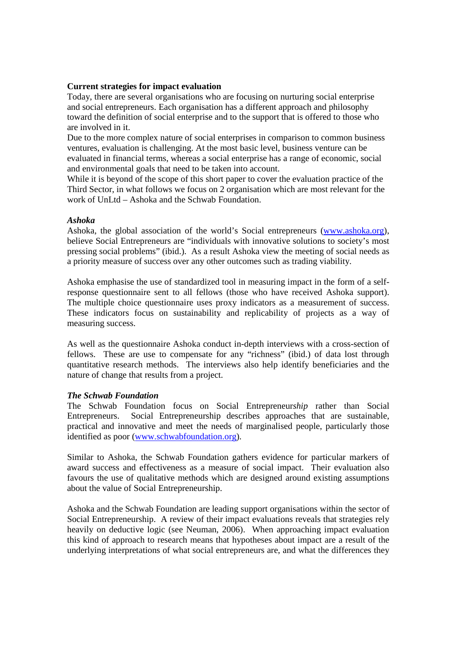## **Current strategies for impact evaluation**

Today, there are several organisations who are focusing on nurturing social enterprise and social entrepreneurs. Each organisation has a different approach and philosophy toward the definition of social enterprise and to the support that is offered to those who are involved in it.

Due to the more complex nature of social enterprises in comparison to common business ventures, evaluation is challenging. At the most basic level, business venture can be evaluated in financial terms, whereas a social enterprise has a range of economic, social and environmental goals that need to be taken into account.

While it is beyond of the scope of this short paper to cover the evaluation practice of the Third Sector, in what follows we focus on 2 organisation which are most relevant for the work of UnLtd – Ashoka and the Schwab Foundation.

## *Ashoka*

Ashoka, the global association of the world's Social entrepreneurs (www.ashoka.org), believe Social Entrepreneurs are "individuals with innovative solutions to society's most pressing social problems" (ibid.). As a result Ashoka view the meeting of social needs as a priority measure of success over any other outcomes such as trading viability.

Ashoka emphasise the use of standardized tool in measuring impact in the form of a selfresponse questionnaire sent to all fellows (those who have received Ashoka support). The multiple choice questionnaire uses proxy indicators as a measurement of success. These indicators focus on sustainability and replicability of projects as a way of measuring success.

As well as the questionnaire Ashoka conduct in-depth interviews with a cross-section of fellows. These are use to compensate for any "richness" (ibid.) of data lost through quantitative research methods. The interviews also help identify beneficiaries and the nature of change that results from a project.

#### *The Schwab Foundation*

The Schwab Foundation focus on Social Entrepreneur*ship* rather than Social Entrepreneurs. Social Entrepreneurship describes approaches that are sustainable, practical and innovative and meet the needs of marginalised people, particularly those identified as poor (www.schwabfoundation.org).

Similar to Ashoka, the Schwab Foundation gathers evidence for particular markers of award success and effectiveness as a measure of social impact. Their evaluation also favours the use of qualitative methods which are designed around existing assumptions about the value of Social Entrepreneurship.

Ashoka and the Schwab Foundation are leading support organisations within the sector of Social Entrepreneurship. A review of their impact evaluations reveals that strategies rely heavily on deductive logic (see Neuman, 2006). When approaching impact evaluation this kind of approach to research means that hypotheses about impact are a result of the underlying interpretations of what social entrepreneurs are, and what the differences they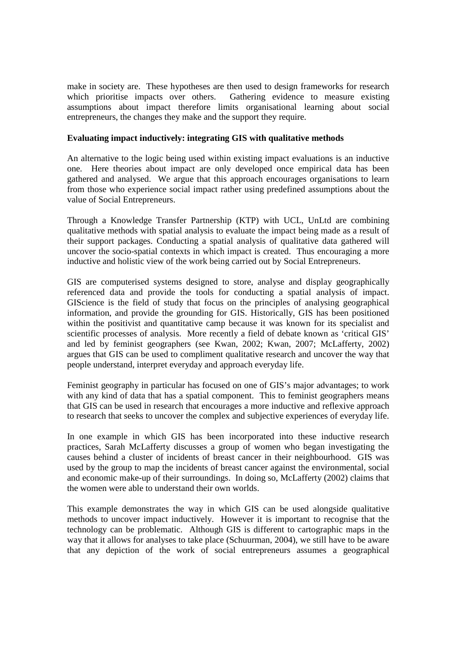make in society are. These hypotheses are then used to design frameworks for research which prioritise impacts over others. Gathering evidence to measure existing assumptions about impact therefore limits organisational learning about social entrepreneurs, the changes they make and the support they require.

# **Evaluating impact inductively: integrating GIS with qualitative methods**

An alternative to the logic being used within existing impact evaluations is an inductive one. Here theories about impact are only developed once empirical data has been gathered and analysed. We argue that this approach encourages organisations to learn from those who experience social impact rather using predefined assumptions about the value of Social Entrepreneurs.

Through a Knowledge Transfer Partnership (KTP) with UCL, UnLtd are combining qualitative methods with spatial analysis to evaluate the impact being made as a result of their support packages. Conducting a spatial analysis of qualitative data gathered will uncover the socio-spatial contexts in which impact is created. Thus encouraging a more inductive and holistic view of the work being carried out by Social Entrepreneurs.

GIS are computerised systems designed to store, analyse and display geographically referenced data and provide the tools for conducting a spatial analysis of impact. GIScience is the field of study that focus on the principles of analysing geographical information, and provide the grounding for GIS. Historically, GIS has been positioned within the positivist and quantitative camp because it was known for its specialist and scientific processes of analysis. More recently a field of debate known as 'critical GIS' and led by feminist geographers (see Kwan, 2002; Kwan, 2007; McLafferty, 2002) argues that GIS can be used to compliment qualitative research and uncover the way that people understand, interpret everyday and approach everyday life.

Feminist geography in particular has focused on one of GIS's major advantages; to work with any kind of data that has a spatial component. This to feminist geographers means that GIS can be used in research that encourages a more inductive and reflexive approach to research that seeks to uncover the complex and subjective experiences of everyday life.

In one example in which GIS has been incorporated into these inductive research practices, Sarah McLafferty discusses a group of women who began investigating the causes behind a cluster of incidents of breast cancer in their neighbourhood. GIS was used by the group to map the incidents of breast cancer against the environmental, social and economic make-up of their surroundings. In doing so, McLafferty (2002) claims that the women were able to understand their own worlds.

This example demonstrates the way in which GIS can be used alongside qualitative methods to uncover impact inductively. However it is important to recognise that the technology can be problematic. Although GIS is different to cartographic maps in the way that it allows for analyses to take place (Schuurman, 2004), we still have to be aware that any depiction of the work of social entrepreneurs assumes a geographical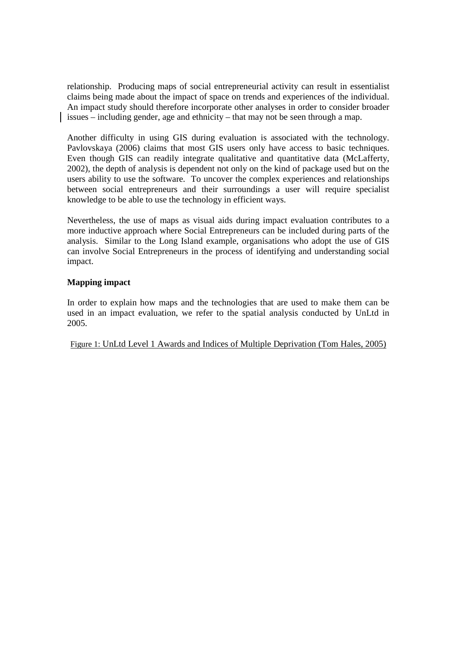relationship. Producing maps of social entrepreneurial activity can result in essentialist claims being made about the impact of space on trends and experiences of the individual. An impact study should therefore incorporate other analyses in order to consider broader issues – including gender, age and ethnicity – that may not be seen through a map.

Another difficulty in using GIS during evaluation is associated with the technology. Pavlovskaya (2006) claims that most GIS users only have access to basic techniques. Even though GIS can readily integrate qualitative and quantitative data (McLafferty, 2002), the depth of analysis is dependent not only on the kind of package used but on the users ability to use the software. To uncover the complex experiences and relationships between social entrepreneurs and their surroundings a user will require specialist knowledge to be able to use the technology in efficient ways.

Nevertheless, the use of maps as visual aids during impact evaluation contributes to a more inductive approach where Social Entrepreneurs can be included during parts of the analysis. Similar to the Long Island example, organisations who adopt the use of GIS can involve Social Entrepreneurs in the process of identifying and understanding social impact.

# **Mapping impact**

In order to explain how maps and the technologies that are used to make them can be used in an impact evaluation, we refer to the spatial analysis conducted by UnLtd in 2005.

Figure 1: UnLtd Level 1 Awards and Indices of Multiple Deprivation (Tom Hales, 2005)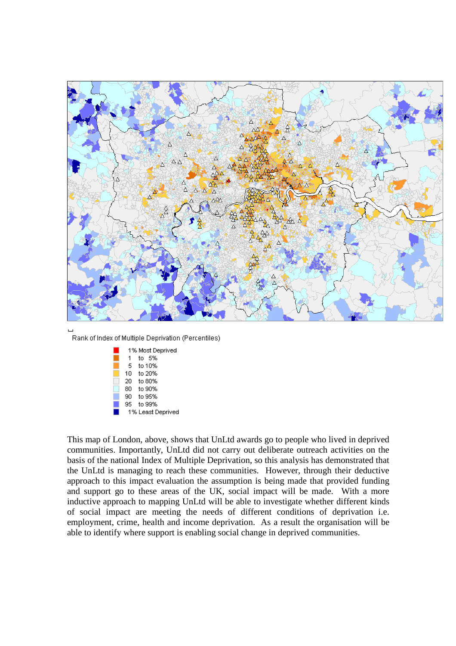

Rank of Index of Multiple Deprivation (Percentiles)

|     | 1% Most Deprived  |
|-----|-------------------|
| 1   | to 5%             |
| 5., | to 10%            |
| 10. | to 20%            |
| 20  | to 80%            |
| 80. | to 90%            |
| 90. | to 95%            |
| 95. | to 99%            |
|     | 1% Least Deprived |

This map of London, above, shows that UnLtd awards go to people who lived in deprived communities. Importantly, UnLtd did not carry out deliberate outreach activities on the basis of the national Index of Multiple Deprivation, so this analysis has demonstrated that the UnLtd is managing to reach these communities. However, through their deductive approach to this impact evaluation the assumption is being made that provided funding and support go to these areas of the UK, social impact will be made. With a more inductive approach to mapping UnLtd will be able to investigate whether different kinds of social impact are meeting the needs of different conditions of deprivation i.e. employment, crime, health and income deprivation. As a result the organisation will be able to identify where support is enabling social change in deprived communities.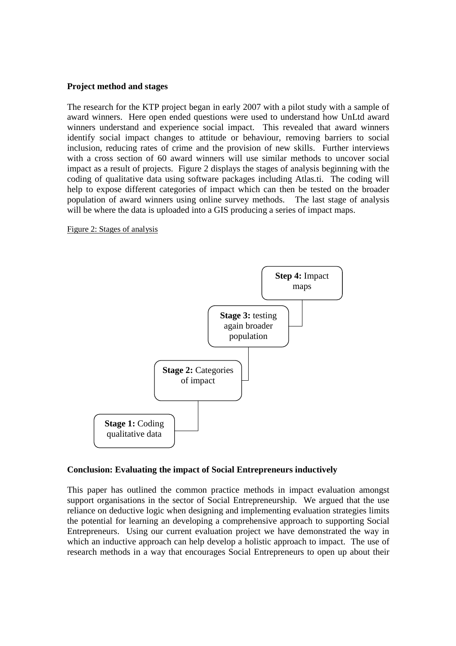# **Project method and stages**

The research for the KTP project began in early 2007 with a pilot study with a sample of award winners. Here open ended questions were used to understand how UnLtd award winners understand and experience social impact. This revealed that award winners identify social impact changes to attitude or behaviour, removing barriers to social inclusion, reducing rates of crime and the provision of new skills. Further interviews with a cross section of 60 award winners will use similar methods to uncover social impact as a result of projects. Figure 2 displays the stages of analysis beginning with the coding of qualitative data using software packages including Atlas.ti. The coding will help to expose different categories of impact which can then be tested on the broader population of award winners using online survey methods. The last stage of analysis will be where the data is uploaded into a GIS producing a series of impact maps.

Figure 2: Stages of analysis



#### **Conclusion: Evaluating the impact of Social Entrepreneurs inductively**

This paper has outlined the common practice methods in impact evaluation amongst support organisations in the sector of Social Entrepreneurship. We argued that the use reliance on deductive logic when designing and implementing evaluation strategies limits the potential for learning an developing a comprehensive approach to supporting Social Entrepreneurs. Using our current evaluation project we have demonstrated the way in which an inductive approach can help develop a holistic approach to impact. The use of research methods in a way that encourages Social Entrepreneurs to open up about their